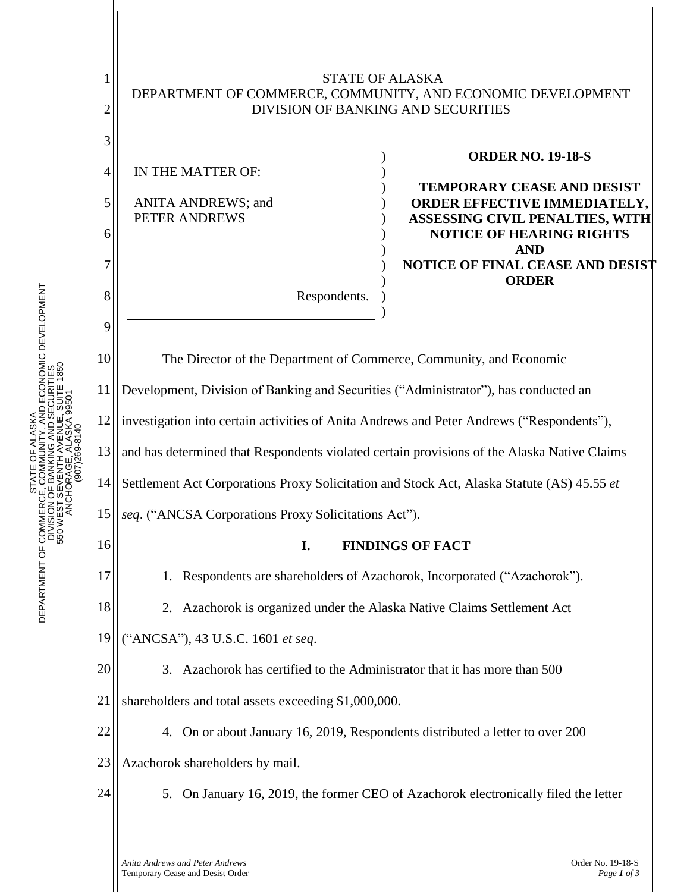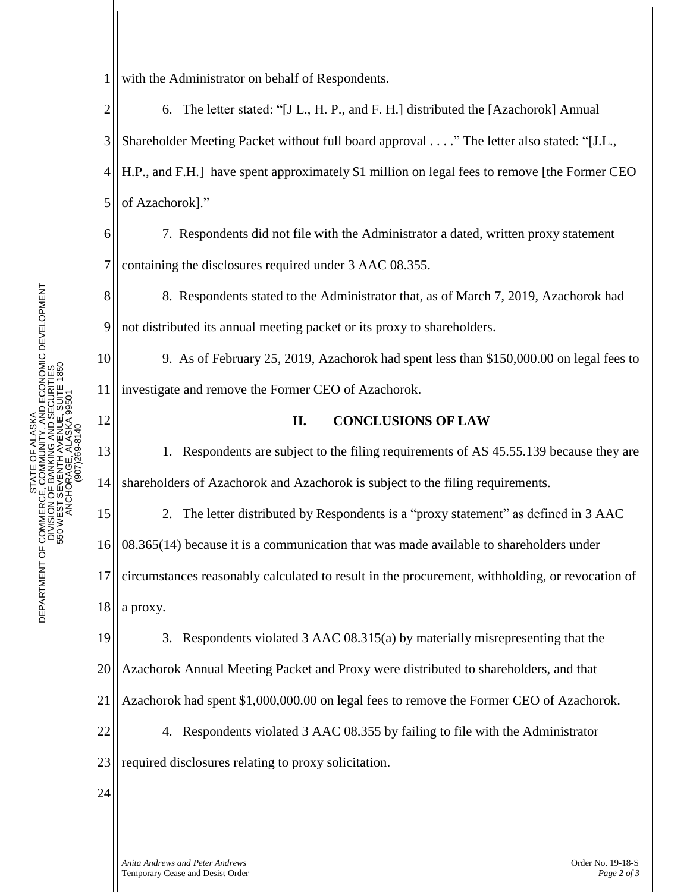8

9

10

11

12

15

16

1 with the Administrator on behalf of Respondents.

2 3 4 5 6. The letter stated: "[J L., H. P., and F. H.] distributed the [Azachorok] Annual Shareholder Meeting Packet without full board approval . . . ." The letter also stated: "[J.L., H.P., and F.H.] have spent approximately \$1 million on legal fees to remove [the Former CEO of Azachorok]."

6 7 7. Respondents did not file with the Administrator a dated, written proxy statement containing the disclosures required under 3 AAC 08.355.

8. Respondents stated to the Administrator that, as of March 7, 2019, Azachorok had not distributed its annual meeting packet or its proxy to shareholders.

9. As of February 25, 2019, Azachorok had spent less than \$150,000.00 on legal fees to investigate and remove the Former CEO of Azachorok.

## **II. CONCLUSIONS OF LAW**

13 14 1. Respondents are subject to the filing requirements of AS 45.55.139 because they are shareholders of Azachorok and Azachorok is subject to the filing requirements.

2. The letter distributed by Respondents is a "proxy statement" as defined in 3 AAC 08.365(14) because it is a communication that was made available to shareholders under

17 circumstances reasonably calculated to result in the procurement, withholding, or revocation of

18 a proxy.

19 20 21 22 23 3. Respondents violated 3 AAC 08.315(a) by materially misrepresenting that the Azachorok Annual Meeting Packet and Proxy were distributed to shareholders, and that Azachorok had spent \$1,000,000.00 on legal fees to remove the Former CEO of Azachorok. 4. Respondents violated 3 AAC 08.355 by failing to file with the Administrator required disclosures relating to proxy solicitation.

24